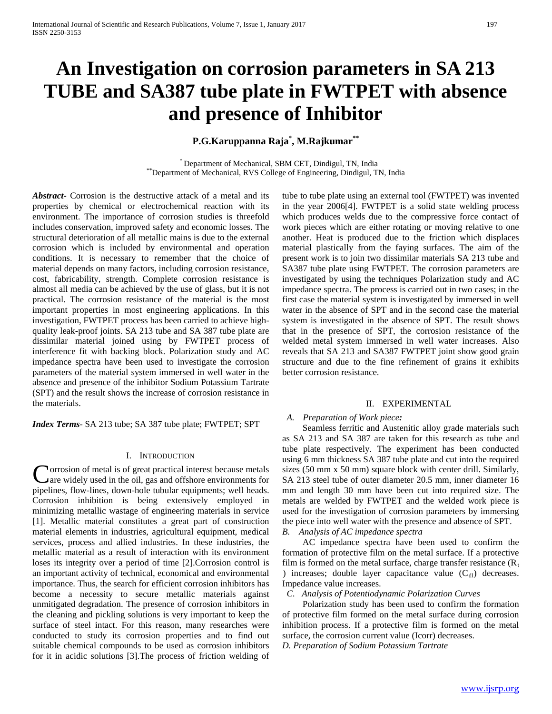# **An Investigation on corrosion parameters in SA 213 TUBE and SA387 tube plate in FWTPET with absence and presence of Inhibitor**

**P.G.Karuppanna Raja\* , M.Rajkumar\*\***

\* Department of Mechanical, SBM CET, Dindigul, TN, India \*\*Department of Mechanical, RVS College of Engineering, Dindigul, TN, India

*Abstract***-** Corrosion is the destructive attack of a metal and its properties by chemical or electrochemical reaction with its environment. The importance of corrosion studies is threefold includes conservation, improved safety and economic losses. The structural deterioration of all metallic mains is due to the external corrosion which is included by environmental and operation conditions. It is necessary to remember that the choice of material depends on many factors, including corrosion resistance, cost, fabricability, strength. Complete corrosion resistance is almost all media can be achieved by the use of glass, but it is not practical. The corrosion resistance of the material is the most important properties in most engineering applications. In this investigation, FWTPET process has been carried to achieve highquality leak-proof joints. SA 213 tube and SA 387 tube plate are dissimilar material joined using by FWTPET process of interference fit with backing block. Polarization study and AC impedance spectra have been used to investigate the corrosion parameters of the material system immersed in well water in the absence and presence of the inhibitor Sodium Potassium Tartrate (SPT) and the result shows the increase of corrosion resistance in the materials.

*Index Terms*- SA 213 tube; SA 387 tube plate; FWTPET; SPT

## I. INTRODUCTION

**V**orrosion of metal is of great practical interest because metals are widely used in the oil, gas and offshore environments for Corrosion of metal is of great practical interest because metals are widely used in the oil, gas and offshore environments for pipelines, flow-lines, down-hole tubular equipments; well heads. Corrosion inhibition is being extensively employed in minimizing metallic wastage of engineering materials in service [1]. Metallic material constitutes a great part of construction material elements in industries, agricultural equipment, medical services, process and allied industries. In these industries, the metallic material as a result of interaction with its environment loses its integrity over a period of time [2].Corrosion control is an important activity of technical, economical and environmental importance. Thus, the search for efficient corrosion inhibitors has become a necessity to secure metallic materials against unmitigated degradation. The presence of corrosion inhibitors in the cleaning and pickling solutions is very important to keep the surface of steel intact. For this reason, many researches were conducted to study its corrosion properties and to find out suitable chemical compounds to be used as corrosion inhibitors for it in acidic solutions [3].The process of friction welding of

tube to tube plate using an external tool (FWTPET) was invented in the year 2006[4]. FWTPET is a solid state welding process which produces welds due to the compressive force contact of work pieces which are either rotating or moving relative to one another. Heat is produced due to the friction which displaces material plastically from the faying surfaces. The aim of the present work is to join two dissimilar materials SA 213 tube and SA387 tube plate using FWTPET. The corrosion parameters are investigated by using the techniques Polarization study and AC impedance spectra. The process is carried out in two cases; in the first case the material system is investigated by immersed in well water in the absence of SPT and in the second case the material system is investigated in the absence of SPT. The result shows that in the presence of SPT, the corrosion resistance of the welded metal system immersed in well water increases. Also reveals that SA 213 and SA387 FWTPET joint show good grain structure and due to the fine refinement of grains it exhibits better corrosion resistance.

#### II. EXPERIMENTAL

# *A. Preparation of Work piece:*

 Seamless ferritic and Austenitic alloy grade materials such as SA 213 and SA 387 are taken for this research as tube and tube plate respectively. The experiment has been conducted using 6 mm thickness SA 387 tube plate and cut into the required sizes (50 mm x 50 mm) square block with center drill. Similarly, SA 213 steel tube of outer diameter 20.5 mm, inner diameter 16 mm and length 30 mm have been cut into required size. The metals are welded by FWTPET and the welded work piece is used for the investigation of corrosion parameters by immersing the piece into well water with the presence and absence of SPT. *B. Analysis of AC impedance spectra*

 AC impedance spectra have been used to confirm the formation of protective film on the metal surface. If a protective film is formed on the metal surface, charge transfer resistance  $(R_t)$ ) increases; double layer capacitance value  $(C_{\rm d})$  decreases. Impedance value increases.

 *C. Analysis of Potentiodynamic Polarization Curves*

 Polarization study has been used to confirm the formation of protective film formed on the metal surface during corrosion inhibition process. If a protective film is formed on the metal surface, the corrosion current value (Icorr) decreases.

*D. Preparation of Sodium Potassium Tartrate*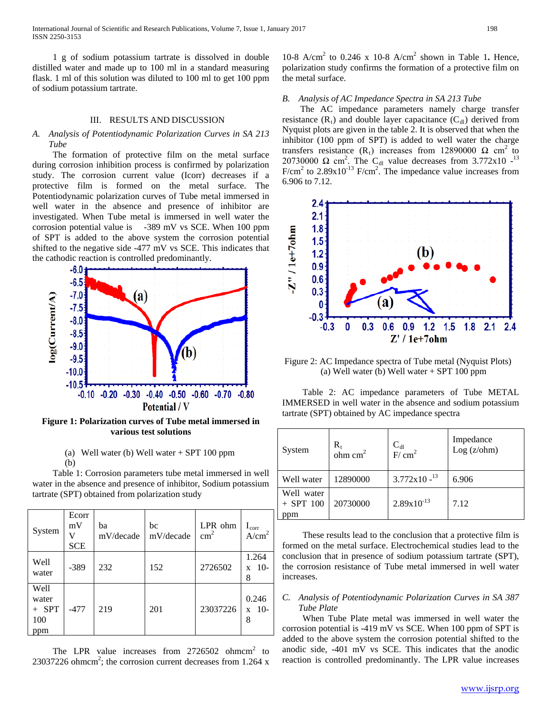International Journal of Scientific and Research Publications, Volume 7, Issue 1, January 2017 198 ISSN 2250-3153

 1 g of sodium potassium tartrate is dissolved in double distilled water and made up to 100 ml in a standard measuring flask. 1 ml of this solution was diluted to 100 ml to get 100 ppm of sodium potassium tartrate.

#### III. RESULTS AND DISCUSSION

## *A. Analysis of Potentiodynamic Polarization Curves in SA 213 Tube*

 The formation of protective film on the metal surface during corrosion inhibition process is confirmed by polarization study. The corrosion current value (Icorr) decreases if a protective film is formed on the metal surface. The Potentiodynamic polarization curves of Tube metal immersed in well water in the absence and presence of inhibitor are investigated. When Tube metal is immersed in well water the corrosion potential value is -389 mV vs SCE. When 100 ppm of SPT is added to the above system the corrosion potential shifted to the negative side -477 mV vs SCE. This indicates that the cathodic reaction is controlled predominantly.



**Figure 1: Polarization curves of Tube metal immersed in various test solutions**

# (a) Well water (b) Well water + SPT 100 ppm (b)

 Table 1: Corrosion parameters tube metal immersed in well water in the absence and presence of inhibitor, Sodium potassium tartrate (SPT) obtained from polarization study

| System                                    | Ecorr<br>mV<br>V<br><b>SCE</b> | ba<br>mV/decade | bc<br>mV/decade | LPR ohm<br>$\text{cm}^2$ | $I_{\rm corr}$<br>A/cm <sup>2</sup> |
|-------------------------------------------|--------------------------------|-----------------|-----------------|--------------------------|-------------------------------------|
| Well<br>water                             | $-389$                         | 232             | 152             | 2726502                  | 1.264<br>$10-$<br>X<br>8            |
| Well<br>water<br><b>SPT</b><br>100<br>ppm | $-477$                         | 219             | 201             | 23037226                 | 0.246<br>$10-$<br>$\mathbf{X}$<br>8 |

The LPR value increases from  $2726502$  ohmcm<sup>2</sup> to 23037226 ohmcm<sup>2</sup>; the corrosion current decreases from 1.264 x

10-8 A/cm<sup>2</sup> to 0.246 x 10-8 A/cm<sup>2</sup> shown in Table 1. Hence, polarization study confirms the formation of a protective film on the metal surface.

## *B. Analysis of AC Impedance Spectra in SA 213 Tube*

 The AC impedance parameters namely charge transfer resistance  $(R_t)$  and double layer capacitance  $(C_d)$  derived from Nyquist plots are given in the table 2. It is observed that when the inhibitor (100 ppm of SPT) is added to well water the charge transfers resistance (R<sub>t</sub>) increases from 12890000  $\Omega$  cm<sup>2</sup> to 20730000  $\Omega$  cm<sup>2</sup>. The C<sub>dl</sub> value decreases from 3.772x10 -<sup>13</sup> F/cm<sup>2</sup> to  $2.89x10^{-13}$  F/cm<sup>2</sup>. The impedance value increases from 6.906 to 7.12.



Figure 2: AC Impedance spectra of Tube metal (Nyquist Plots) (a) Well water (b) Well water + SPT 100 ppm

 Table 2: AC impedance parameters of Tube METAL IMMERSED in well water in the absence and sodium potassium tartrate (SPT) obtained by AC impedance spectra

| System                           | $R_{t}$<br>$ohm$ cm <sup>2</sup> | $\frac{C_{dl}}{F/cm^2}$ | Impedance<br>Log (z/ohm) |
|----------------------------------|----------------------------------|-------------------------|--------------------------|
| Well water                       | 12890000                         | $3.772 \times 10^{-13}$ | 6.906                    |
| Well water<br>$+$ SPT 100<br>ppm | 20730000                         | $2.89x10^{-13}$         | 7.12                     |

 These results lead to the conclusion that a protective film is formed on the metal surface. Electrochemical studies lead to the conclusion that in presence of sodium potassium tartrate (SPT), the corrosion resistance of Tube metal immersed in well water increases.

# *C. Analysis of Potentiodynamic Polarization Curves in SA 387 Tube Plate*

 When Tube Plate metal was immersed in well water the corrosion potential is -419 mV vs SCE. When 100 ppm of SPT is added to the above system the corrosion potential shifted to the anodic side, -401 mV vs SCE. This indicates that the anodic reaction is controlled predominantly. The LPR value increases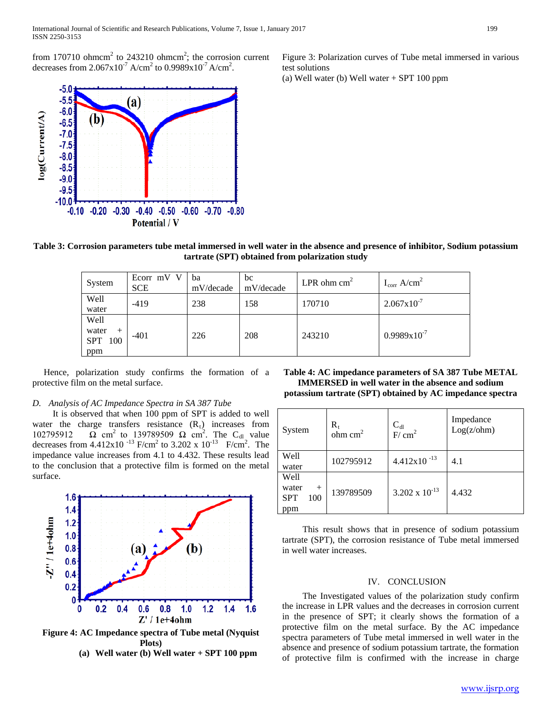

(a) Well water (b) Well water + SPT 100 ppm



**Table 3: Corrosion parameters tube metal immersed in well water in the absence and presence of inhibitor, Sodium potassium tartrate (SPT) obtained from polarization study**

| System                                            | Ecorr mV V<br><b>SCE</b> | ba<br>mV/decade | bc<br>mV/decade | LPR ohm $cm2$ | $I_{corr}$ A/cm <sup>2</sup> |
|---------------------------------------------------|--------------------------|-----------------|-----------------|---------------|------------------------------|
| Well<br>water                                     | $-419$                   | 238             | 158             | 170710        | $2.067 \times 10^{-7}$       |
| Well<br>water<br>$^+$<br><b>SPT</b><br>100<br>ppm | $-401$                   | 226             | 208             | 243210        | $0.9989x10^{-7}$             |

 Hence, polarization study confirms the formation of a protective film on the metal surface.

#### *D. Analysis of AC Impedance Spectra in SA 387 Tube*

 It is observed that when 100 ppm of SPT is added to well water the charge transfers resistance  $(R_t)$  increases from 102795912  $\Omega$  cm<sup>2</sup> to 139789509  $\Omega$  cm<sup>2</sup>. The C<sub>dl</sub> value decreases from  $4.412 \times 10^{-13}$  F/cm<sup>2</sup> to  $3.202 \times 10^{-13}$  F/cm<sup>2</sup>. The impedance value increases from 4.1 to 4.432. These results lead to the conclusion that a protective film is formed on the metal surface.



**Figure 4: AC Impedance spectra of Tube metal (Nyquist Plots)**



**Table 4: AC impedance parameters of SA 387 Tube METAL IMMERSED in well water in the absence and sodium potassium tartrate (SPT) obtained by AC impedance spectra**

| System                                              | $\mathbf{R}_{\mathrm{t}}$<br>$ohm$ cm <sup>2</sup> | $\frac{C_{dl}}{F/cm^2}$ | Impedance<br>Log(z/bhm) |
|-----------------------------------------------------|----------------------------------------------------|-------------------------|-------------------------|
| Well<br>water                                       | 102795912                                          | $4.412x10^{-13}$        | 4.1                     |
| Well<br>water<br>$^{+}$<br><b>SPT</b><br>100<br>ppm | 139789509                                          | $3.202 \times 10^{-13}$ | 4.432                   |

 This result shows that in presence of sodium potassium tartrate (SPT), the corrosion resistance of Tube metal immersed in well water increases.

#### IV. CONCLUSION

 The Investigated values of the polarization study confirm the increase in LPR values and the decreases in corrosion current in the presence of SPT; it clearly shows the formation of a protective film on the metal surface. By the AC impedance spectra parameters of Tube metal immersed in well water in the absence and presence of sodium potassium tartrate, the formation of protective film is confirmed with the increase in charge